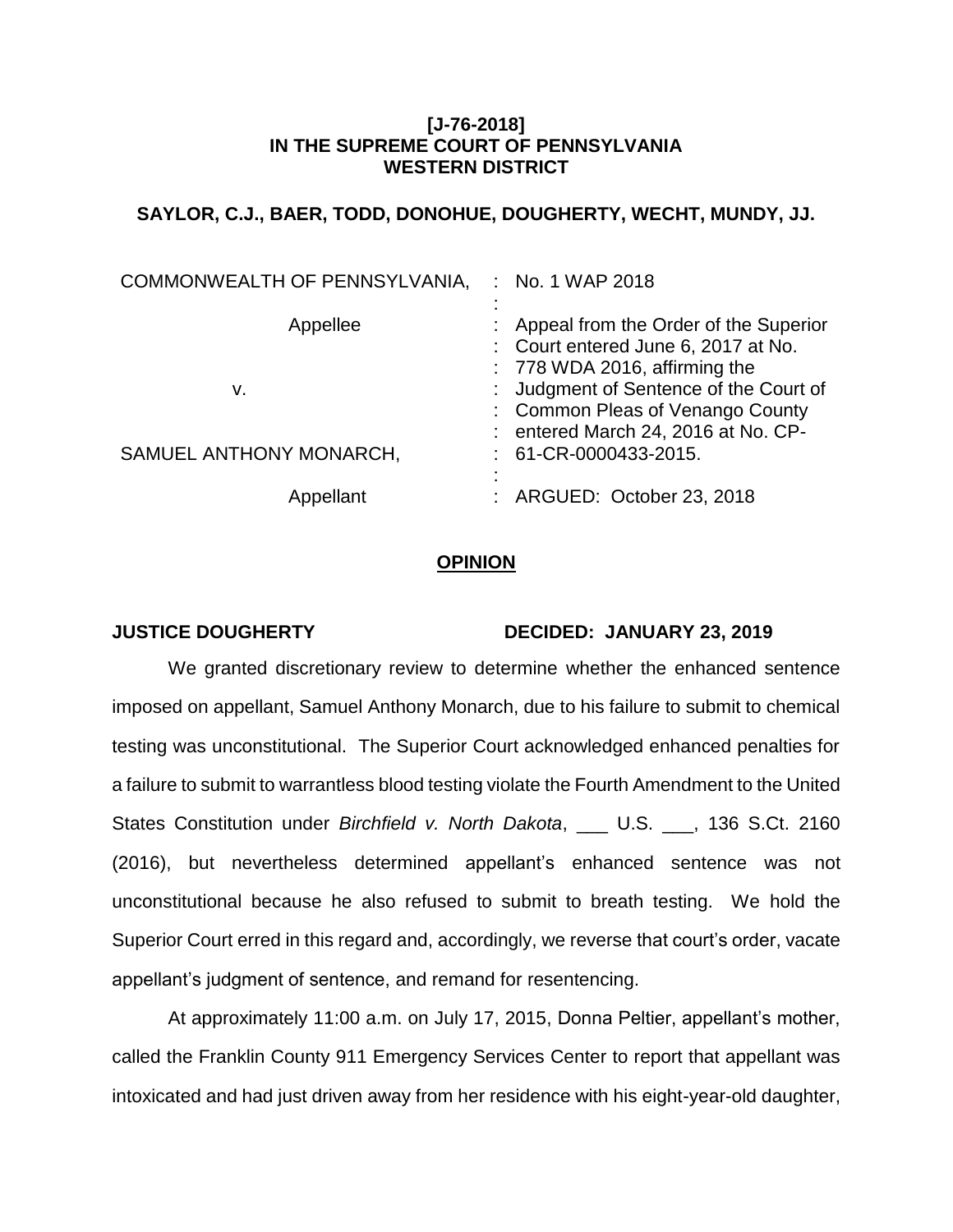## **[J-76-2018] IN THE SUPREME COURT OF PENNSYLVANIA WESTERN DISTRICT**

# **SAYLOR, C.J., BAER, TODD, DONOHUE, DOUGHERTY, WECHT, MUNDY, JJ.**

| COMMONWEALTH OF PENNSYLVANIA, | $:$ No. 1 WAP 2018                                                             |
|-------------------------------|--------------------------------------------------------------------------------|
|                               |                                                                                |
| Appellee                      | : Appeal from the Order of the Superior<br>: Court entered June 6, 2017 at No. |
|                               | $: 778$ WDA 2016, affirming the                                                |
| v.                            | : Judgment of Sentence of the Court of                                         |
|                               | : Common Pleas of Venango County                                               |
|                               | : entered March 24, 2016 at No. CP-                                            |
| SAMUEL ANTHONY MONARCH,       | $: 61$ -CR-0000433-2015.                                                       |
|                               |                                                                                |
| Appellant                     | : ARGUED: October 23, 2018                                                     |

### **OPINION**

### **JUSTICE DOUGHERTY DECIDED: JANUARY 23, 2019**

We granted discretionary review to determine whether the enhanced sentence imposed on appellant, Samuel Anthony Monarch, due to his failure to submit to chemical testing was unconstitutional. The Superior Court acknowledged enhanced penalties for a failure to submit to warrantless blood testing violate the Fourth Amendment to the United States Constitution under *Birchfield v. North Dakota*, \_\_\_ U.S. \_\_\_, 136 S.Ct. 2160 (2016), but nevertheless determined appellant's enhanced sentence was not unconstitutional because he also refused to submit to breath testing. We hold the Superior Court erred in this regard and, accordingly, we reverse that court's order, vacate appellant's judgment of sentence, and remand for resentencing.

At approximately 11:00 a.m. on July 17, 2015, Donna Peltier, appellant's mother, called the Franklin County 911 Emergency Services Center to report that appellant was intoxicated and had just driven away from her residence with his eight-year-old daughter,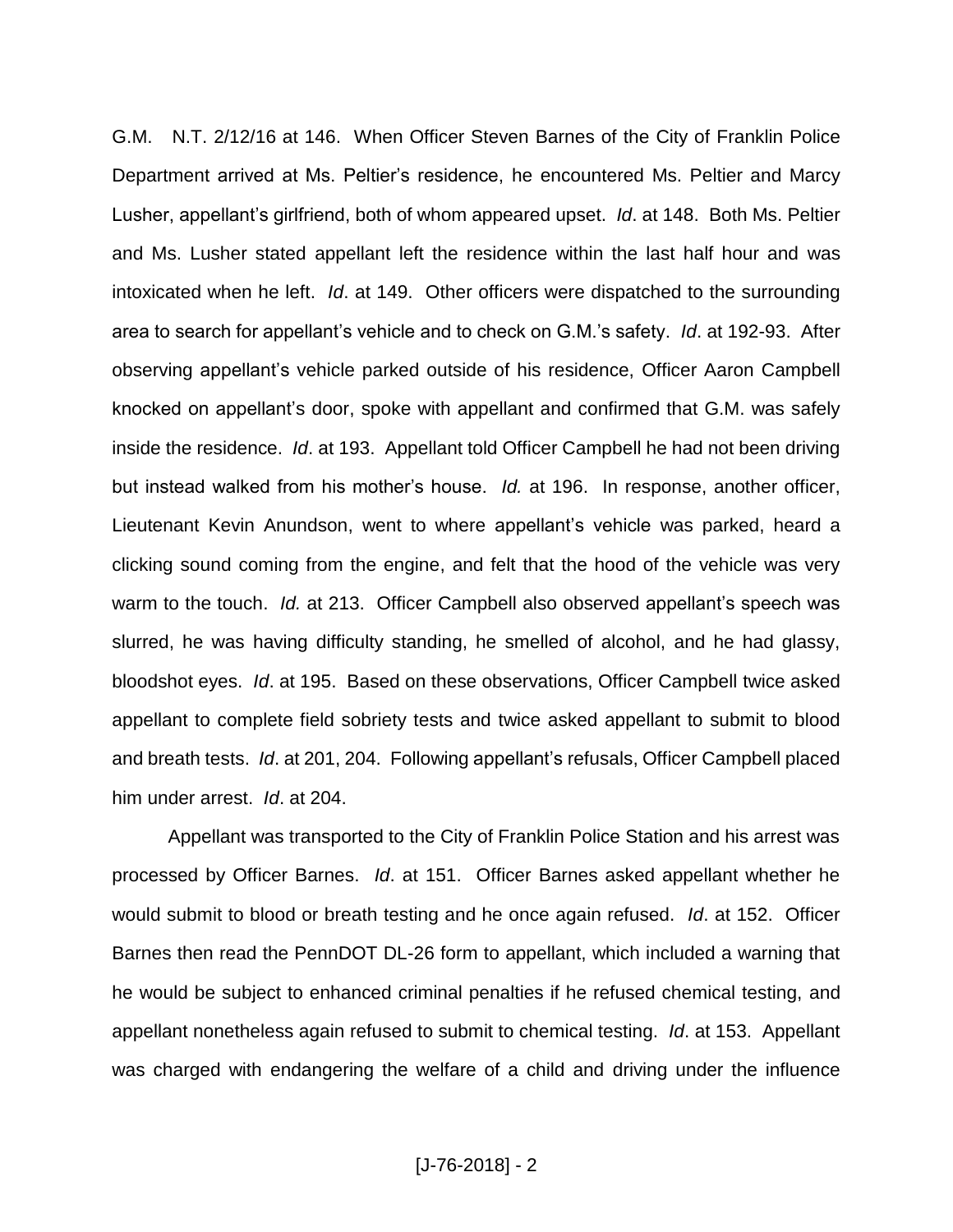G.M. N.T. 2/12/16 at 146. When Officer Steven Barnes of the City of Franklin Police Department arrived at Ms. Peltier's residence, he encountered Ms. Peltier and Marcy Lusher, appellant's girlfriend, both of whom appeared upset. *Id*. at 148. Both Ms. Peltier and Ms. Lusher stated appellant left the residence within the last half hour and was intoxicated when he left. *Id*. at 149. Other officers were dispatched to the surrounding area to search for appellant's vehicle and to check on G.M.'s safety. *Id*. at 192-93. After observing appellant's vehicle parked outside of his residence, Officer Aaron Campbell knocked on appellant's door, spoke with appellant and confirmed that G.M. was safely inside the residence. *Id*. at 193. Appellant told Officer Campbell he had not been driving but instead walked from his mother's house. *Id.* at 196. In response, another officer, Lieutenant Kevin Anundson, went to where appellant's vehicle was parked, heard a clicking sound coming from the engine, and felt that the hood of the vehicle was very warm to the touch. *Id.* at 213. Officer Campbell also observed appellant's speech was slurred, he was having difficulty standing, he smelled of alcohol, and he had glassy, bloodshot eyes. *Id*. at 195. Based on these observations, Officer Campbell twice asked appellant to complete field sobriety tests and twice asked appellant to submit to blood and breath tests. *Id*. at 201, 204. Following appellant's refusals, Officer Campbell placed him under arrest. *Id*. at 204.

Appellant was transported to the City of Franklin Police Station and his arrest was processed by Officer Barnes. *Id*. at 151. Officer Barnes asked appellant whether he would submit to blood or breath testing and he once again refused. *Id*. at 152. Officer Barnes then read the PennDOT DL-26 form to appellant, which included a warning that he would be subject to enhanced criminal penalties if he refused chemical testing, and appellant nonetheless again refused to submit to chemical testing. *Id*. at 153. Appellant was charged with endangering the welfare of a child and driving under the influence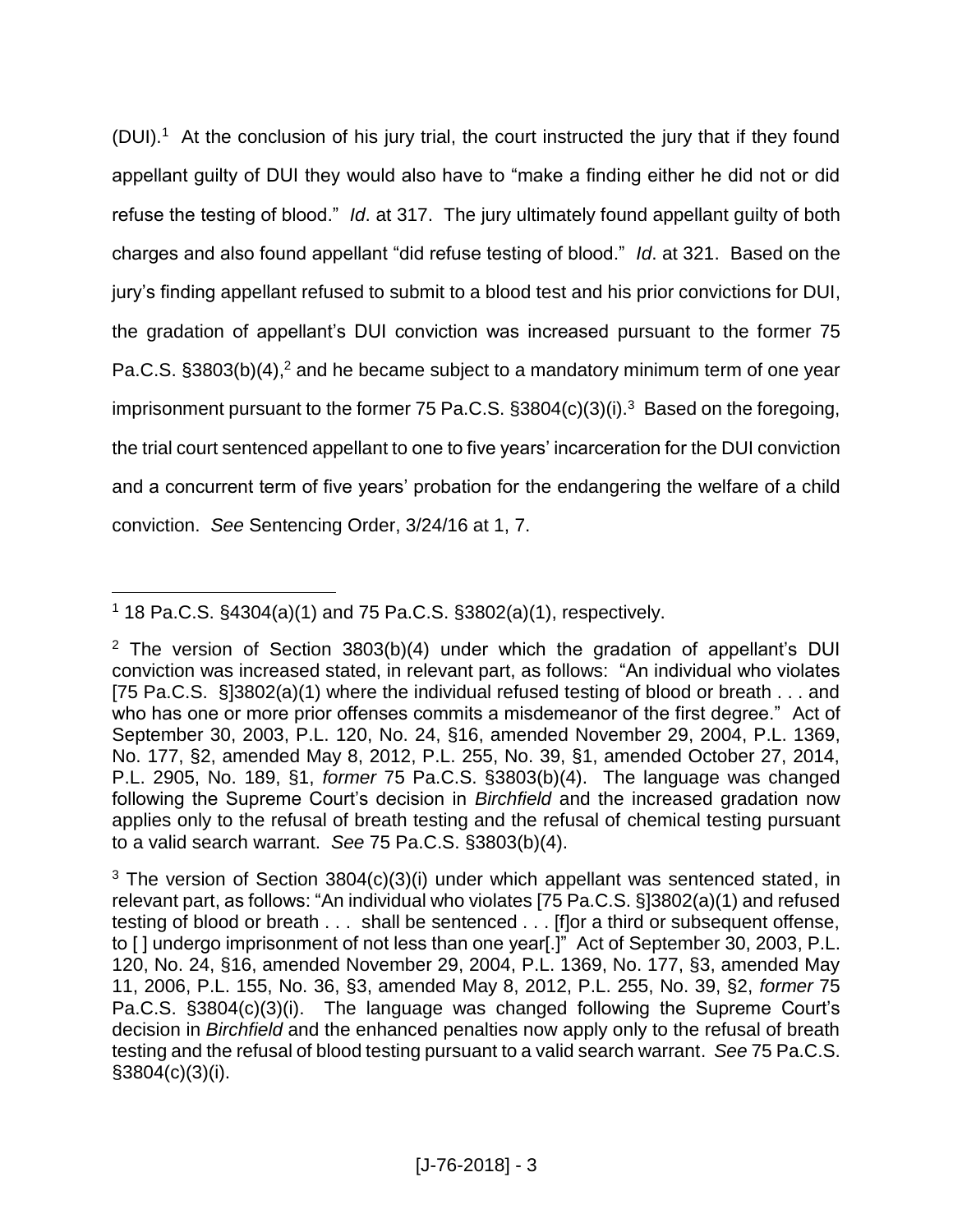(DUI). <sup>1</sup> At the conclusion of his jury trial, the court instructed the jury that if they found appellant guilty of DUI they would also have to "make a finding either he did not or did refuse the testing of blood." *Id*. at 317. The jury ultimately found appellant guilty of both charges and also found appellant "did refuse testing of blood." *Id*. at 321. Based on the jury's finding appellant refused to submit to a blood test and his prior convictions for DUI, the gradation of appellant's DUI conviction was increased pursuant to the former 75 Pa.C.S. §3803(b)(4),<sup>2</sup> and he became subject to a mandatory minimum term of one year imprisonment pursuant to the former 75 Pa.C.S. §3804(c)(3)(i).<sup>3</sup> Based on the foregoing, the trial court sentenced appellant to one to five years' incarceration for the DUI conviction and a concurrent term of five years' probation for the endangering the welfare of a child conviction. *See* Sentencing Order, 3/24/16 at 1, 7.

 $\overline{a}$ <sup>1</sup> 18 Pa.C.S. §4304(a)(1) and 75 Pa.C.S. §3802(a)(1), respectively.

<sup>&</sup>lt;sup>2</sup> The version of Section 3803(b)(4) under which the gradation of appellant's DUI conviction was increased stated, in relevant part, as follows: "An individual who violates [75 Pa.C.S. §]3802(a)(1) where the individual refused testing of blood or breath . . . and who has one or more prior offenses commits a misdemeanor of the first degree." Act of September 30, 2003, P.L. 120, No. 24, §16, amended November 29, 2004, P.L. 1369, No. 177, §2, amended May 8, 2012, P.L. 255, No. 39, §1, amended October 27, 2014, P.L. 2905, No. 189, §1, *former* 75 Pa.C.S. §3803(b)(4). The language was changed following the Supreme Court's decision in *Birchfield* and the increased gradation now applies only to the refusal of breath testing and the refusal of chemical testing pursuant to a valid search warrant. *See* 75 Pa.C.S. §3803(b)(4).

 $3$  The version of Section 3804(c)(3)(i) under which appellant was sentenced stated, in relevant part, as follows: "An individual who violates [75 Pa.C.S. §]3802(a)(1) and refused testing of blood or breath . . . shall be sentenced . . . [f]or a third or subsequent offense, to [] undergo imprisonment of not less than one year[.]" Act of September 30, 2003, P.L. 120, No. 24, §16, amended November 29, 2004, P.L. 1369, No. 177, §3, amended May 11, 2006, P.L. 155, No. 36, §3, amended May 8, 2012, P.L. 255, No. 39, §2, *former* 75 Pa.C.S. §3804(c)(3)(i). The language was changed following the Supreme Court's decision in *Birchfield* and the enhanced penalties now apply only to the refusal of breath testing and the refusal of blood testing pursuant to a valid search warrant. *See* 75 Pa.C.S. §3804(c)(3)(i).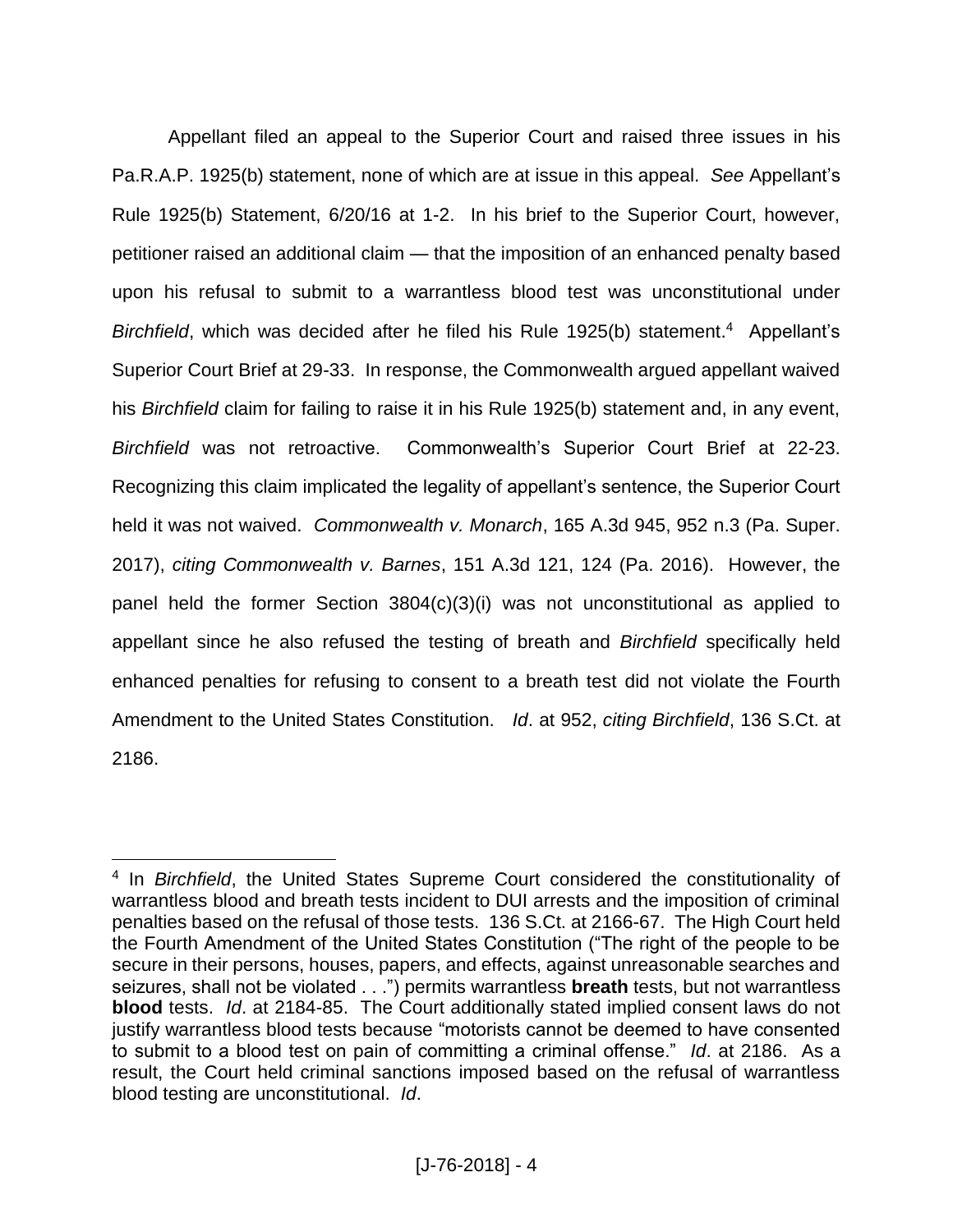Appellant filed an appeal to the Superior Court and raised three issues in his Pa.R.A.P. 1925(b) statement, none of which are at issue in this appeal. *See* Appellant's Rule 1925(b) Statement, 6/20/16 at 1-2. In his brief to the Superior Court, however, petitioner raised an additional claim — that the imposition of an enhanced penalty based upon his refusal to submit to a warrantless blood test was unconstitutional under Birchfield, which was decided after he filed his Rule 1925(b) statement.<sup>4</sup> Appellant's Superior Court Brief at 29-33. In response, the Commonwealth argued appellant waived his *Birchfield* claim for failing to raise it in his Rule 1925(b) statement and, in any event, *Birchfield* was not retroactive. Commonwealth's Superior Court Brief at 22-23. Recognizing this claim implicated the legality of appellant's sentence, the Superior Court held it was not waived. *Commonwealth v. Monarch*, 165 A.3d 945, 952 n.3 (Pa. Super. 2017), *citing Commonwealth v. Barnes*, 151 A.3d 121, 124 (Pa. 2016). However, the panel held the former Section 3804(c)(3)(i) was not unconstitutional as applied to appellant since he also refused the testing of breath and *Birchfield* specifically held enhanced penalties for refusing to consent to a breath test did not violate the Fourth Amendment to the United States Constitution. *Id*. at 952, *citing Birchfield*, 136 S.Ct. at 2186.

 $\overline{a}$ 

<sup>4</sup> In *Birchfield*, the United States Supreme Court considered the constitutionality of warrantless blood and breath tests incident to DUI arrests and the imposition of criminal penalties based on the refusal of those tests. 136 S.Ct. at 2166-67. The High Court held the Fourth Amendment of the United States Constitution ("The right of the people to be secure in their persons, houses, papers, and effects, against unreasonable searches and seizures, shall not be violated . . .") permits warrantless **breath** tests, but not warrantless **blood** tests. *Id*. at 2184-85. The Court additionally stated implied consent laws do not justify warrantless blood tests because "motorists cannot be deemed to have consented to submit to a blood test on pain of committing a criminal offense." *Id*. at 2186. As a result, the Court held criminal sanctions imposed based on the refusal of warrantless blood testing are unconstitutional. *Id*.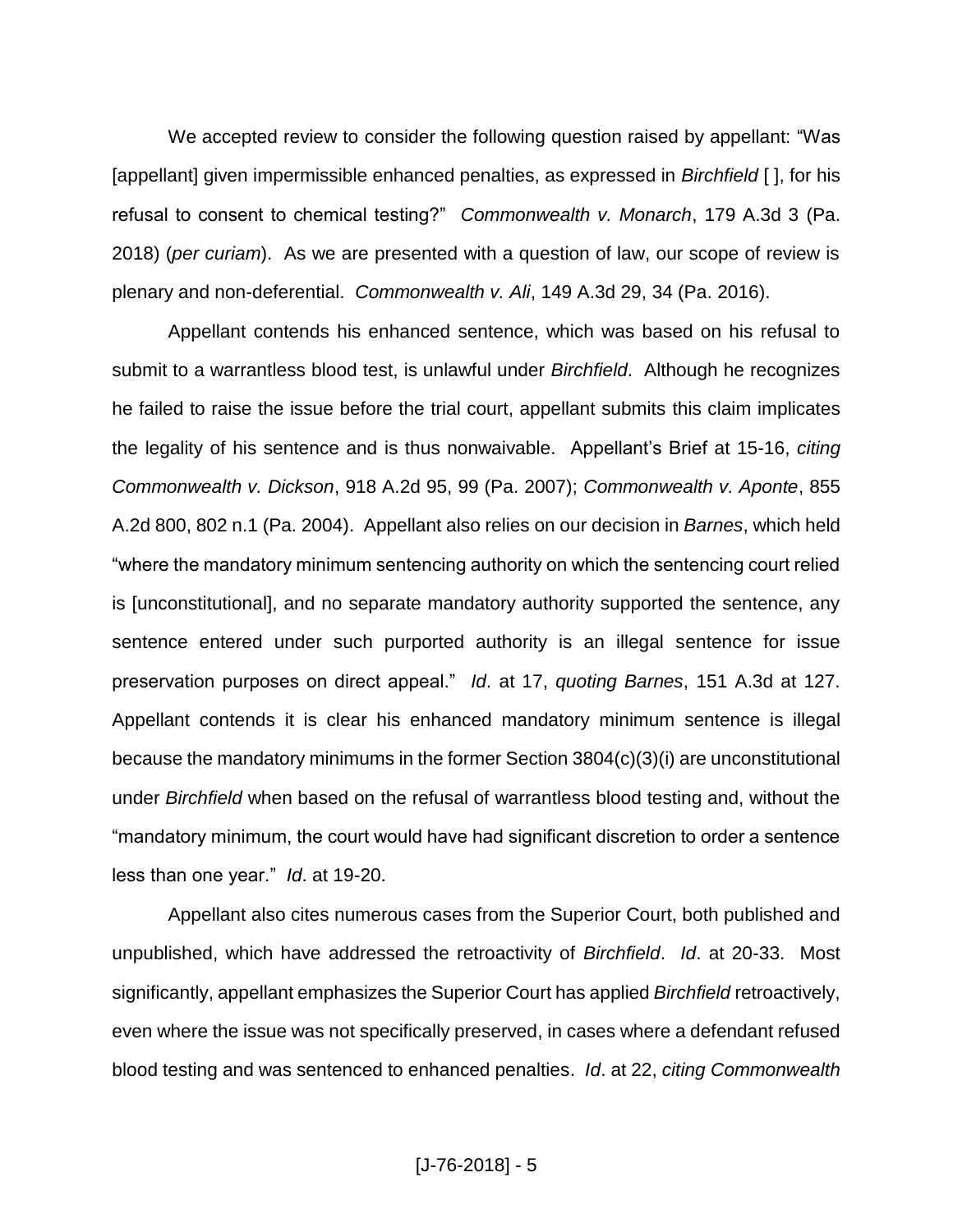We accepted review to consider the following question raised by appellant: "Was [appellant] given impermissible enhanced penalties, as expressed in *Birchfield* [ ], for his refusal to consent to chemical testing?" *Commonwealth v. Monarch*, 179 A.3d 3 (Pa. 2018) (*per curiam*). As we are presented with a question of law, our scope of review is plenary and non-deferential. *Commonwealth v. Ali*, 149 A.3d 29, 34 (Pa. 2016).

Appellant contends his enhanced sentence, which was based on his refusal to submit to a warrantless blood test, is unlawful under *Birchfield*. Although he recognizes he failed to raise the issue before the trial court, appellant submits this claim implicates the legality of his sentence and is thus nonwaivable. Appellant's Brief at 15-16, *citing Commonwealth v. Dickson*, 918 A.2d 95, 99 (Pa. 2007); *Commonwealth v. Aponte*, 855 A.2d 800, 802 n.1 (Pa. 2004). Appellant also relies on our decision in *Barnes*, which held "where the mandatory minimum sentencing authority on which the sentencing court relied is [unconstitutional], and no separate mandatory authority supported the sentence, any sentence entered under such purported authority is an illegal sentence for issue preservation purposes on direct appeal." *Id*. at 17, *quoting Barnes*, 151 A.3d at 127. Appellant contends it is clear his enhanced mandatory minimum sentence is illegal because the mandatory minimums in the former Section 3804(c)(3)(i) are unconstitutional under *Birchfield* when based on the refusal of warrantless blood testing and, without the "mandatory minimum, the court would have had significant discretion to order a sentence less than one year." *Id*. at 19-20.

Appellant also cites numerous cases from the Superior Court, both published and unpublished, which have addressed the retroactivity of *Birchfield*. *Id*. at 20-33. Most significantly, appellant emphasizes the Superior Court has applied *Birchfield* retroactively, even where the issue was not specifically preserved, in cases where a defendant refused blood testing and was sentenced to enhanced penalties. *Id*. at 22, *citing Commonwealth*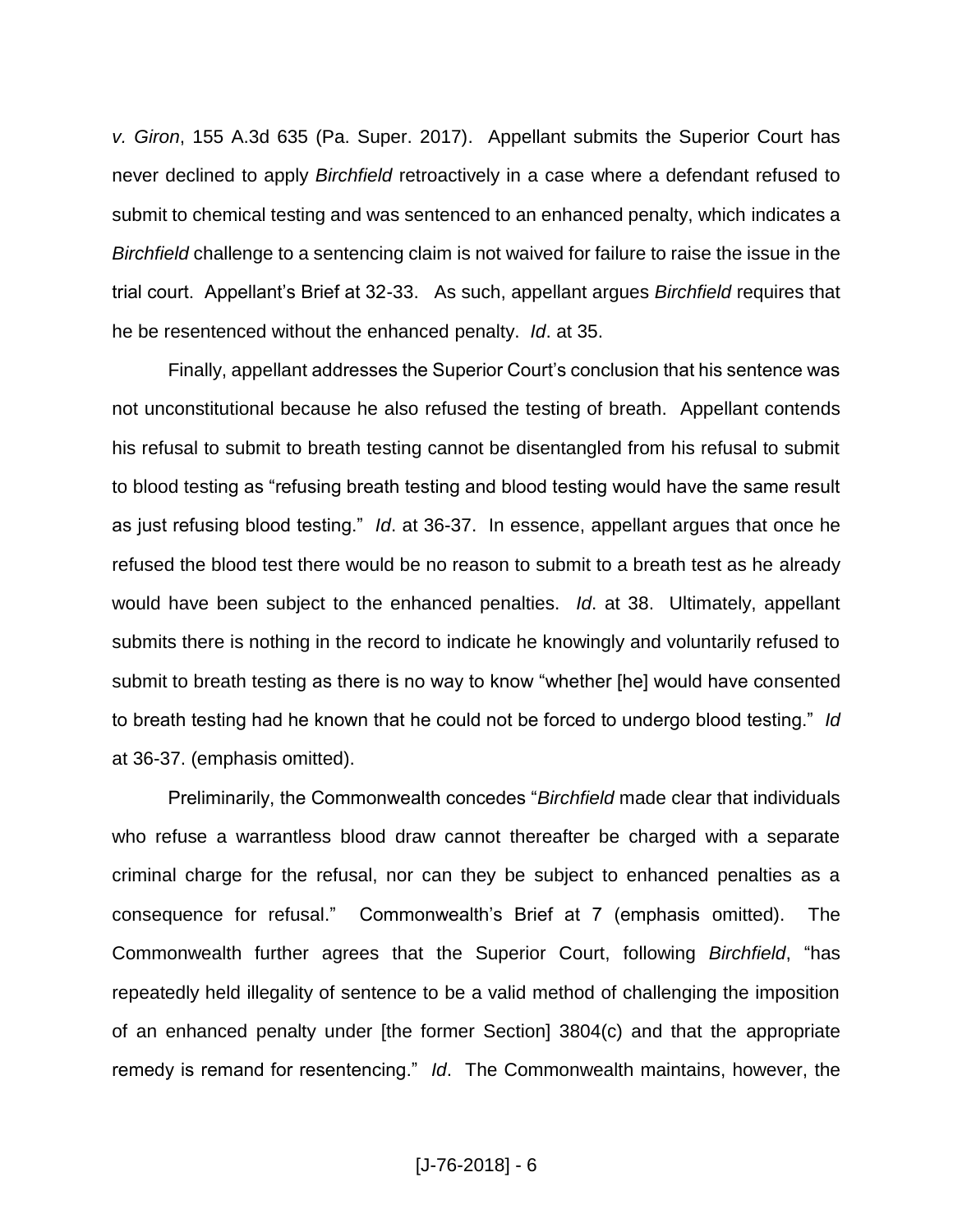*v. Giron*, 155 A.3d 635 (Pa. Super. 2017). Appellant submits the Superior Court has never declined to apply *Birchfield* retroactively in a case where a defendant refused to submit to chemical testing and was sentenced to an enhanced penalty, which indicates a *Birchfield* challenge to a sentencing claim is not waived for failure to raise the issue in the trial court. Appellant's Brief at 32-33. As such, appellant argues *Birchfield* requires that he be resentenced without the enhanced penalty. *Id*. at 35.

Finally, appellant addresses the Superior Court's conclusion that his sentence was not unconstitutional because he also refused the testing of breath. Appellant contends his refusal to submit to breath testing cannot be disentangled from his refusal to submit to blood testing as "refusing breath testing and blood testing would have the same result as just refusing blood testing." *Id*. at 36-37. In essence, appellant argues that once he refused the blood test there would be no reason to submit to a breath test as he already would have been subject to the enhanced penalties. *Id*. at 38. Ultimately, appellant submits there is nothing in the record to indicate he knowingly and voluntarily refused to submit to breath testing as there is no way to know "whether [he] would have consented to breath testing had he known that he could not be forced to undergo blood testing." *Id* at 36-37. (emphasis omitted).

Preliminarily, the Commonwealth concedes "*Birchfield* made clear that individuals who refuse a warrantless blood draw cannot thereafter be charged with a separate criminal charge for the refusal, nor can they be subject to enhanced penalties as a consequence for refusal." Commonwealth's Brief at 7 (emphasis omitted). The Commonwealth further agrees that the Superior Court, following *Birchfield*, "has repeatedly held illegality of sentence to be a valid method of challenging the imposition of an enhanced penalty under [the former Section] 3804(c) and that the appropriate remedy is remand for resentencing." *Id*. The Commonwealth maintains, however, the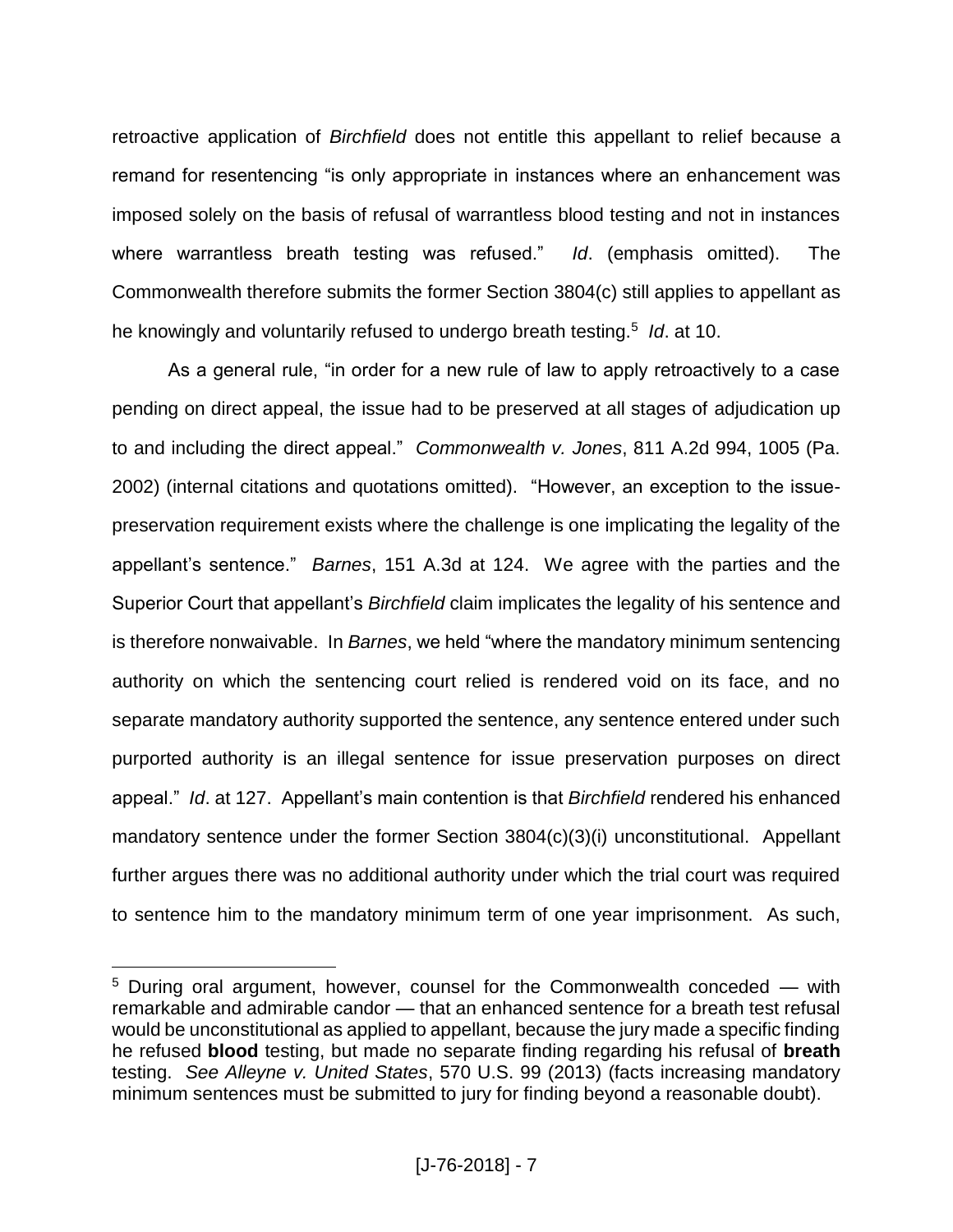retroactive application of *Birchfield* does not entitle this appellant to relief because a remand for resentencing "is only appropriate in instances where an enhancement was imposed solely on the basis of refusal of warrantless blood testing and not in instances where warrantless breath testing was refused." *Id*. (emphasis omitted). The Commonwealth therefore submits the former Section 3804(c) still applies to appellant as he knowingly and voluntarily refused to undergo breath testing.<sup>5</sup> *Id*. at 10.

As a general rule, "in order for a new rule of law to apply retroactively to a case pending on direct appeal, the issue had to be preserved at all stages of adjudication up to and including the direct appeal." *Commonwealth v. Jones*, 811 A.2d 994, 1005 (Pa. 2002) (internal citations and quotations omitted). "However, an exception to the issuepreservation requirement exists where the challenge is one implicating the legality of the appellant's sentence." *Barnes*, 151 A.3d at 124. We agree with the parties and the Superior Court that appellant's *Birchfield* claim implicates the legality of his sentence and is therefore nonwaivable. In *Barnes*, we held "where the mandatory minimum sentencing authority on which the sentencing court relied is rendered void on its face, and no separate mandatory authority supported the sentence, any sentence entered under such purported authority is an illegal sentence for issue preservation purposes on direct appeal." *Id*. at 127. Appellant's main contention is that *Birchfield* rendered his enhanced mandatory sentence under the former Section 3804(c)(3)(i) unconstitutional. Appellant further argues there was no additional authority under which the trial court was required to sentence him to the mandatory minimum term of one year imprisonment. As such,

 $\overline{a}$ 

<sup>5</sup> During oral argument, however, counsel for the Commonwealth conceded — with remarkable and admirable candor — that an enhanced sentence for a breath test refusal would be unconstitutional as applied to appellant, because the jury made a specific finding he refused **blood** testing, but made no separate finding regarding his refusal of **breath** testing. *See Alleyne v. United States*, 570 U.S. 99 (2013) (facts increasing mandatory minimum sentences must be submitted to jury for finding beyond a reasonable doubt).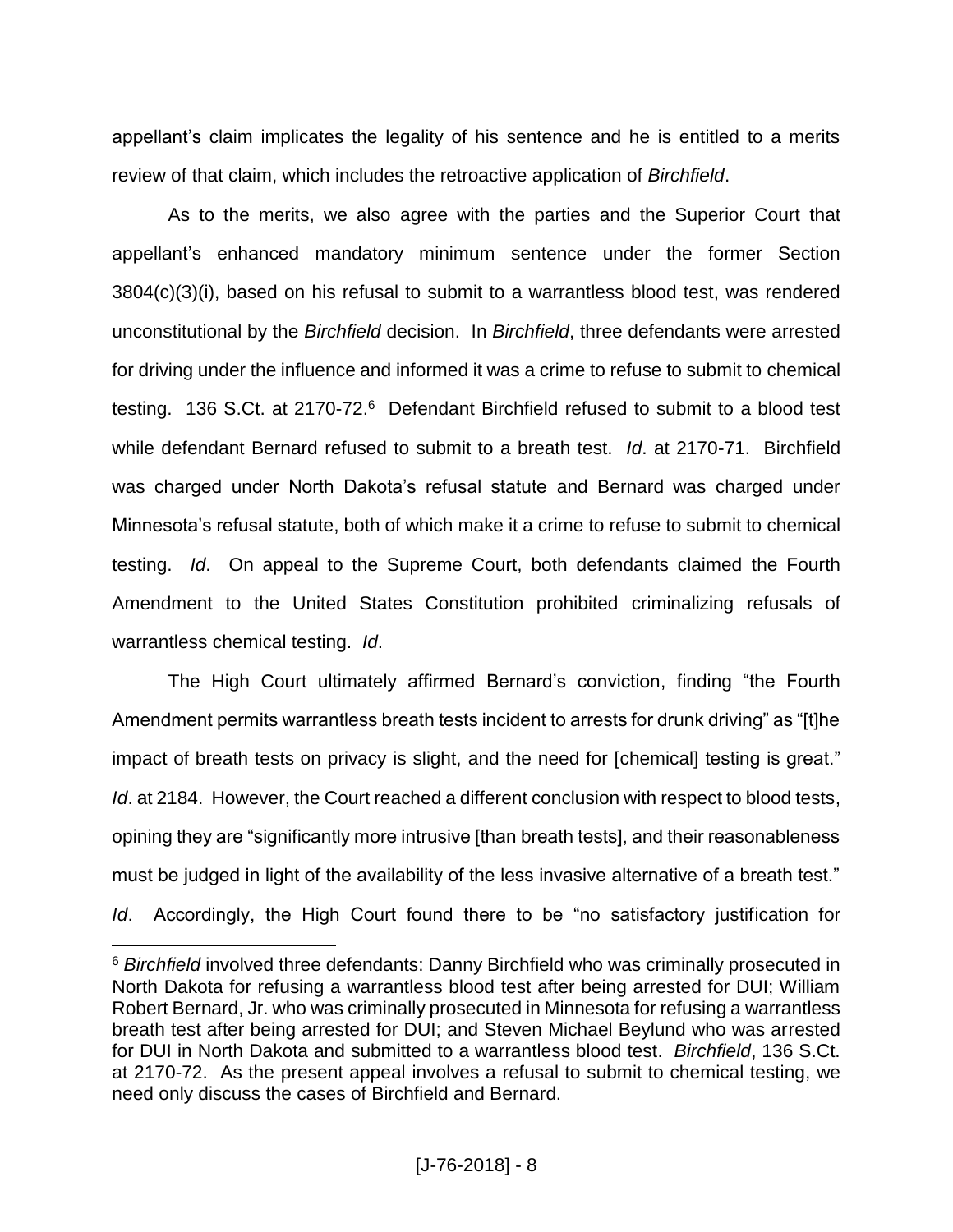appellant's claim implicates the legality of his sentence and he is entitled to a merits review of that claim, which includes the retroactive application of *Birchfield*.

As to the merits, we also agree with the parties and the Superior Court that appellant's enhanced mandatory minimum sentence under the former Section 3804(c)(3)(i), based on his refusal to submit to a warrantless blood test, was rendered unconstitutional by the *Birchfield* decision. In *Birchfield*, three defendants were arrested for driving under the influence and informed it was a crime to refuse to submit to chemical testing. 136 S.Ct. at 2170-72.<sup>6</sup> Defendant Birchfield refused to submit to a blood test while defendant Bernard refused to submit to a breath test. *Id*. at 2170-71. Birchfield was charged under North Dakota's refusal statute and Bernard was charged under Minnesota's refusal statute, both of which make it a crime to refuse to submit to chemical testing. *Id*. On appeal to the Supreme Court, both defendants claimed the Fourth Amendment to the United States Constitution prohibited criminalizing refusals of warrantless chemical testing. *Id*.

The High Court ultimately affirmed Bernard's conviction, finding "the Fourth Amendment permits warrantless breath tests incident to arrests for drunk driving" as "[t]he impact of breath tests on privacy is slight, and the need for [chemical] testing is great." *Id*. at 2184. However, the Court reached a different conclusion with respect to blood tests, opining they are "significantly more intrusive [than breath tests], and their reasonableness must be judged in light of the availability of the less invasive alternative of a breath test." *Id*. Accordingly, the High Court found there to be "no satisfactory justification for

 $\overline{a}$ 

<sup>6</sup> *Birchfield* involved three defendants: Danny Birchfield who was criminally prosecuted in North Dakota for refusing a warrantless blood test after being arrested for DUI; William Robert Bernard, Jr. who was criminally prosecuted in Minnesota for refusing a warrantless breath test after being arrested for DUI; and Steven Michael Beylund who was arrested for DUI in North Dakota and submitted to a warrantless blood test. *Birchfield*, 136 S.Ct. at 2170-72. As the present appeal involves a refusal to submit to chemical testing, we need only discuss the cases of Birchfield and Bernard.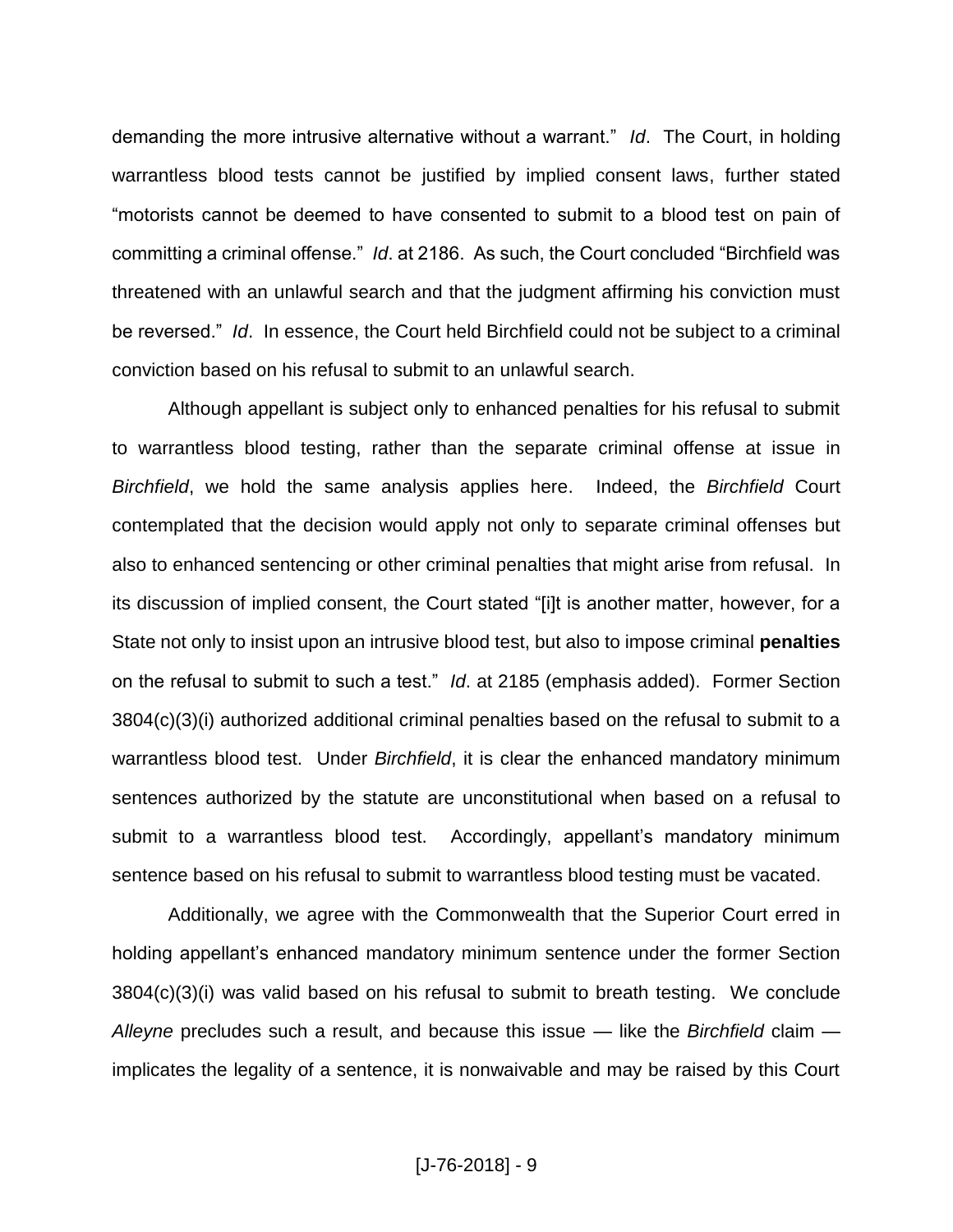demanding the more intrusive alternative without a warrant." *Id*. The Court, in holding warrantless blood tests cannot be justified by implied consent laws, further stated "motorists cannot be deemed to have consented to submit to a blood test on pain of committing a criminal offense." *Id*. at 2186. As such, the Court concluded "Birchfield was threatened with an unlawful search and that the judgment affirming his conviction must be reversed." *Id*. In essence, the Court held Birchfield could not be subject to a criminal conviction based on his refusal to submit to an unlawful search.

Although appellant is subject only to enhanced penalties for his refusal to submit to warrantless blood testing, rather than the separate criminal offense at issue in *Birchfield*, we hold the same analysis applies here. Indeed, the *Birchfield* Court contemplated that the decision would apply not only to separate criminal offenses but also to enhanced sentencing or other criminal penalties that might arise from refusal. In its discussion of implied consent, the Court stated "[i]t is another matter, however, for a State not only to insist upon an intrusive blood test, but also to impose criminal **penalties** on the refusal to submit to such a test." *Id*. at 2185 (emphasis added). Former Section 3804(c)(3)(i) authorized additional criminal penalties based on the refusal to submit to a warrantless blood test. Under *Birchfield*, it is clear the enhanced mandatory minimum sentences authorized by the statute are unconstitutional when based on a refusal to submit to a warrantless blood test. Accordingly, appellant's mandatory minimum sentence based on his refusal to submit to warrantless blood testing must be vacated.

Additionally, we agree with the Commonwealth that the Superior Court erred in holding appellant's enhanced mandatory minimum sentence under the former Section 3804(c)(3)(i) was valid based on his refusal to submit to breath testing. We conclude *Alleyne* precludes such a result, and because this issue — like the *Birchfield* claim implicates the legality of a sentence, it is nonwaivable and may be raised by this Court